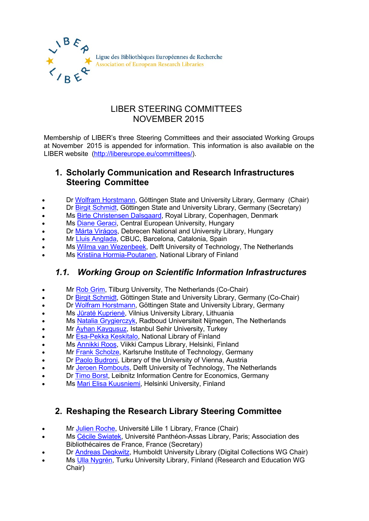

### LIBER STEERING COMMITTEES NOVEMBER 2015

Membership of LIBER's three Steering Committees and their associated Working Groups at November 2015 is appended for information. This information is also available on the LIBER website [\(http://libereurope.eu/committees/\)](http://libereurope.eu/committees/).

### **1. Scholarly Communication and Research Infrastructures Steering Committee**

- Dr Wolfram [Horstmann,](mailto:horstmann@sub.uni-goettingen.de) Göttingen State and University Library, Germany (Chair)
- Dr Birgit [Schmidt,](mailto:bschmidt@sub.uni-goettingen.de) Göttingen State and University Library, Germany (Secretary)
- Ms **Birte [Christensen](mailto:bcd@kb.dk) Dalsgaard, Royal Library, Copenhagen, Denmark**
- Ms **Diane Geraci**, Central European University, Hungary
- Dr Márta [Virágos,](mailto:mviragos@lib.unideb.hu) Debrecen National and University Library, Hungary
- Mr Lluis [Anglada,](mailto:lluis.anglada@csuc.cat) CBUC, Barcelona, Catalonia, Spain
- Ms Wilma van [Wezenbeek,](mailto:w.j.s.m.vanWezenbeek@tudelft.nl) Delft University of Technology, The Netherlands
- Ms Kristiina [Hormia-Poutanen,](mailto:kristiina.hormia@helsinki.fi) National Library of Finland

### *1.1. Working Group on Scientific Information Infrastructures*

- Mr Rob [Grim,](mailto:rob.grim@tilburguniversity.edu) Tilburg University, The Netherlands (Co-Chair)
- Dr Birgit [Schmidt,](mailto:bschmidt@sub.uni-goettingen.de) Göttingen State and University Library, Germany (Co-Chair)
- Dr Wolfram [Horstmann,](mailto:horstmann@sub.uni-goettingen.de) Göttingen State and University Library, Germany
- Ms Jūratė [Kuprienė](mailto:jurate.kupriene@mb.vu.lt), Vilnius University Library, Lithuania
- Ms Natalia [Grygierczyk,](mailto:n.grygierczyk@ubn.ru.nl) Radboud Universiteit Nijmegen, The Netherlands
- Mr Ayhan [Kaygusuz,](mailto:ayhankaygusuz@sehir.edu.tr) Istanbul Sehir University, Turkey
- Mr [Esa-Pekka](mailto:esa-pekka.keskitalo@helsinki.fi) Keskitalo, National Library of Finland
- Ms [Annikki Roos,](mailto:annikki.roos@helsinki.fi) Viikki Campus Library, Helsinki, Finland
- Mr Frank [Scholze,](mailto:frank.scholze@kit.edu) Karlsruhe Institute of Technology, Germany
- Dr Paolo [Budroni,](mailto:paolo.budroni@univie.ac.at) Library of the University of Vienna, Austria
- Mr Jeroen [Rombouts,](mailto:j.p.rombouts@tudelft.nl) Delft University of Technology, The Netherlands
- Dr Timo [Borst,](mailto:t.borst@zbw.eu) Leibnitz Information Centre for Economics, Germany
- Ms [Mari Elisa Kuusniemi,](mailto:mari-elisa.kuusniemi@helsinki.fi) Helsinki University, Finland

# **2. Reshaping the Research Library Steering Committee**

- Mr Julien [Roche,](mailto:julien.roche@univ-lille1.fr) Université Lille 1 Library, France (Chair)
- Ms Cécile [Swiatek,](mailto:cecile.swiatek@gmail.com) Université Panthéon-Assas Library, Paris; Association des
- Bibliothécaires de France, France (Secretary)
- Dr [Andreas Degkwitz,](mailto:andreas.degkwitz@ub.hu-berlin.de) Humboldt University Library (Digital Collections WG Chair)
- Ms Ulla Nygrén, Turku University Library, Finland (Research and Education WG Chair)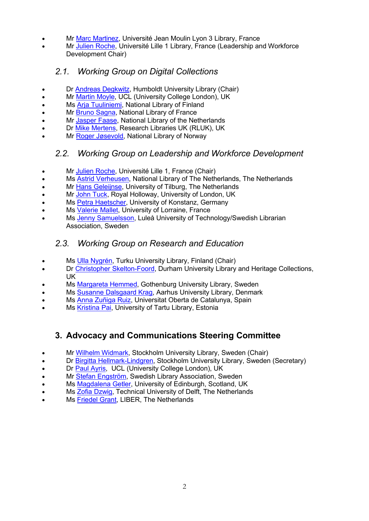- Mr Marc [Martinez,](mailto:%20marc.martinez@univ-lyon3.fr) Université Jean Moulin Lyon 3 Library, France
- Mr Julien [Roche,](mailto:julien.roche@univ-lille1.fr) Université Lille 1 Library, France (Leadership and Workforce Development Chair)

### *2.1. Working Group on Digital Collections*

- Dr [Andreas Degkwitz,](mailto:andreas.degkwitz@ub.hu-berlin.de) Humboldt University Library (Chair)
- Mr Martin [Moyle,](mailto:m.moyle@ucl.ac.uk) UCL (University College London), UK
- Ms Arja [Tuuliniemi,](mailto:arja.tuuliniemi@helsinki.fi) National Library of Finland
- Mr **Bruno Sagna**, National Library of France
- Mr [Jasper](mailto:Jasper.Faase@KB.nl) Faase, National Library of the Netherlands
- Dr Mike [Mertens,](mailto:mike.mertens@rluk.ac.uk) Research Libraries UK (RLUK), UK
- Mr Roger [Jøsevold,](mailto:Roger.Josevold@nb.no) National Library of Norway

#### *2.2. Working Group on Leadership and Workforce Development*

- Mr Julien [Roche,](mailto:julien.roche@univ-lille1.fr) Université Lille 1, France (Chair)
- Ms Astrid [Verheusen,](mailto:astrid.verheusen@kb.nl) National Library of The Netherlands, The Netherlands
- Mr Hans [Geleijnse,](mailto:hans.geleijnse@uvt.nl) University of Tilburg, The Netherlands
- Mr John [Tuck,](mailto:john.tuck@rhul.ac.uk) Royal Holloway, University of London, UK
- Ms Petra [Haetscher,](mailto:petra.haetscher@uni-konstanz.de) University of Konstanz, Germany
- Ms [Valerie](mailto:valerie.mallet@univ-lorraine.fr) Mallet, University of Lorraine, France
- Ms [Jenny Samuelsson,](mailto:%20jenny.samuelsson@ltu.se) Luleå University of Technology/Swedish Librarian Association, Sweden

#### *2.3. Working Group on Research and Education*

- Ms Ulla [Nygrén,](mailto:ulla.nygren@utu.fi) Turku University Library, Finland (Chair)
- Dr Christopher [Skelton-Foord,](mailto:christopher.skelton-foord@durham.ac.uk) Durham University Library and Heritage Collections, UK
- Ms [Margareta](mailto:margareta.hemmed@ub.gu.se) Hemmed, Gothenburg University Library, Sweden
- Ms Susanne [Dalsgaard](mailto:sk@sam.au.dk) Krag, Aarhus University Library, Denmark
- Ms Anna [Zuñiga](mailto:azuniga@uoc.edu) Ruiz, Universitat Oberta de Catalunya, Spain
- Ms [Kristina](mailto:Kristina.Pai@ut.ee) Pai, University of Tartu Library, Estonia

# **3. Advocacy and Communications Steering Committee**

- Mr Wilhelm [Widmark,](mailto:wilhelm.widmark@sub.su.se) Stockholm University Library, Sweden (Chair)
- Dr Birgitta [Hellmark-Lindgren,](mailto:Birgitta.Hellmark-Lindgren@sub.su.se) Stockholm University Library, Sweden (Secretary)
- Dr Paul [Ayris,](mailto:p.ayris@ucl.ac.uk) UCL (University College London), UK
- Mr Stefan [Engström,](mailto:se@biblioteksforeningen.org) Swedish Library Association, Sweden
- Ms [Magdalena](mailto:magdalena.getler@ed.ac.uk) Getler, University of Edinburgh, Scotland, UK
- Ms Zofia [Dzwig,](mailto:z.e.dzwig@tudelft.nl) Technical University of Delft, The Netherlands
- Ms [Friedel](mailto:friedel.grant@kb.nl) Grant, LIBER, The Netherlands